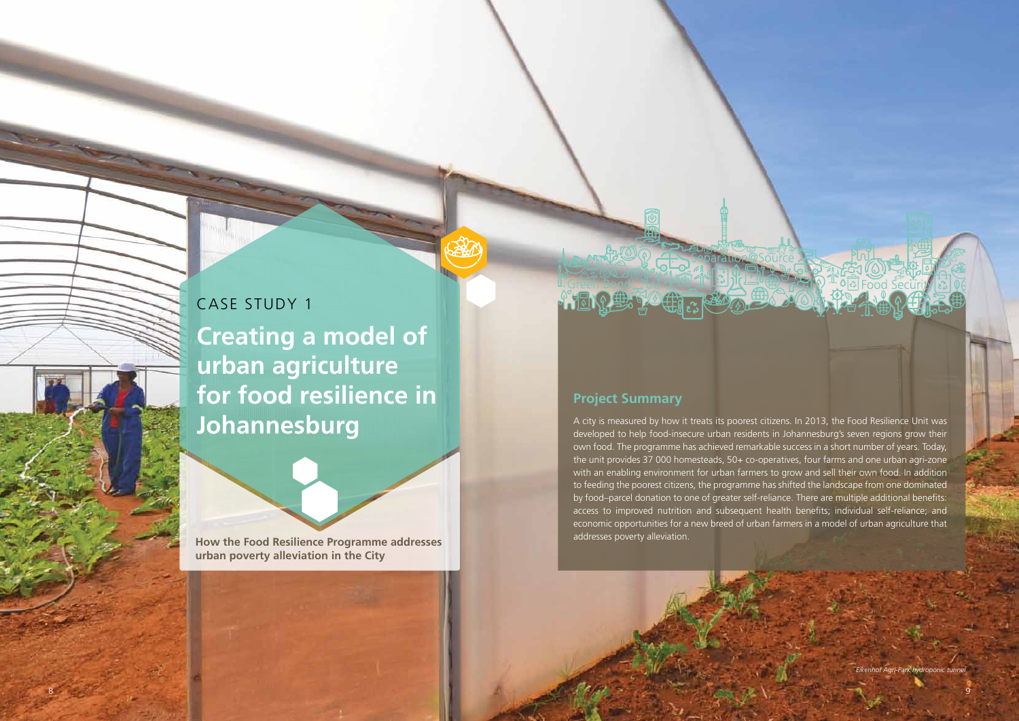8 9

CASE STUDY 1 **Creating a model of urban agriculture for food resilience in Johannesburg**

**How the Food Resilience Programme addresses urban poverty alleviation in the City**

A city is measured by how it treats its poorest citizens. In 2013, the Food Resilience Unit was developed to help food-insecure urban residents in Johannesburg's seven regions grow their own food. The programme has achieved remarkable success in a short number of years. Today, the unit provides 37 000 homesteads, 50+ co-operatives, four farms and one urban agri-zone with an enabling environment for urban farmers to grow and sell their own food. In addition to feeding the poorest citizens, the programme has shifted the landscape from one dominated by food–parcel donation to one of greater self-reliance. There are multiple additional benefits: access to improved nutrition and subsequent health benefits; individual self-reliance; and economic opportunities for a new breed of urban farmers in a model of urban agriculture that addresses poverty alleviation.

# **Project Summary**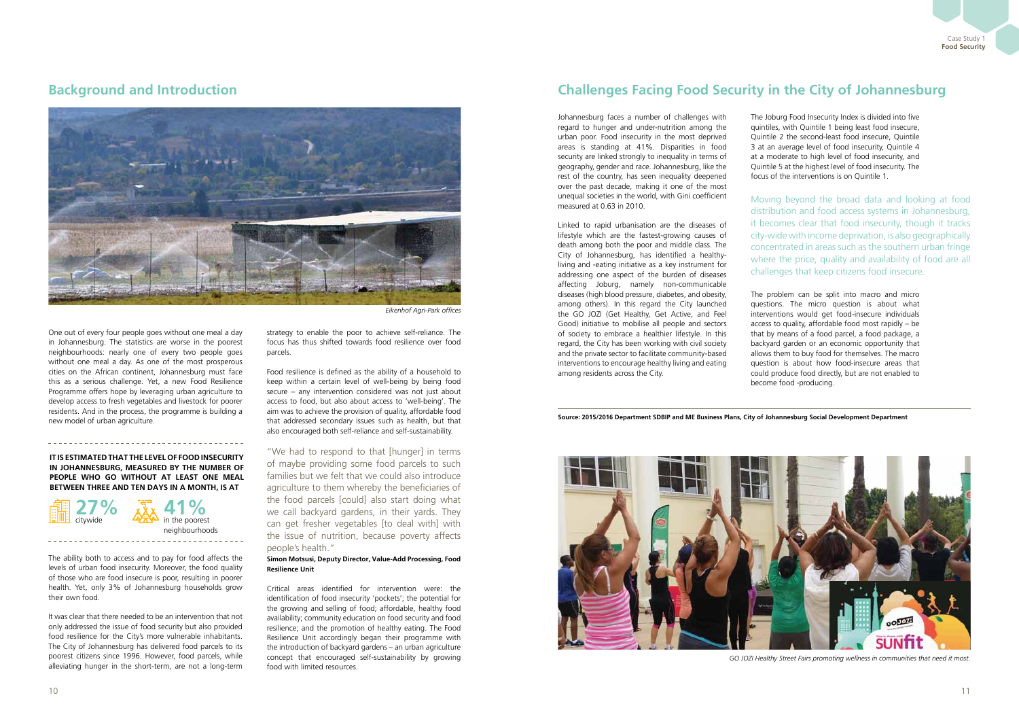One out of every four people goes without one meal a day in Johannesburg. The statistics are worse in the poorest neighbourhoods: nearly one of every two people goes without one meal a day. As one of the most prosperous cities on the African continent, Johannesburg must face this as a serious challenge. Yet, a new Food Resilience Programme offers hope by leveraging urban agriculture to develop access to fresh vegetables and livestock for poorer residents. And in the process, the programme is building a new model of urban agriculture.

The ability both to access and to pay for food affects the levels of urban food insecurity. Moreover, the food quality of those who are food insecure is poor, resulting in poorer health. Yet, only 3% of Johannesburg households grow their own food.

It was clear that there needed to be an intervention that not only addressed the issue of food security but also provided food resilience for the City's more vulnerable inhabitants. The City of Johannesburg has delivered food parcels to its poorest citizens since 1996. However, food parcels, while alleviating hunger in the short-term, are not a long-term strategy to enable the poor to achieve self-reliance. The focus has thus shifted towards food resilience over food parcels.

Food resilience is defined as the ability of a household to keep within a certain level of well-being by being food secure – any intervention considered was not just about access to food, but also about access to 'well-being'. The aim was to achieve the provision of quality, affordable food that addressed secondary issues such as health, but that also encouraged both self-reliance and self-sustainability.

"We had to respond to that [hunger] in terms of maybe providing some food parcels to such families but we felt that we could also introduce agriculture to them whereby the beneficiaries of the food parcels [could] also start doing what we call backyard gardens, in their yards. They can get fresher vegetables [to deal with] with the issue of nutrition, because poverty affects people's health."

#### **Simon Motsusi, Deputy Director, Value-Add Processing, Food Resilience Unit**

Critical areas identified for intervention were: the identification of food insecurity 'pockets'; the potential for the growing and selling of food; affordable, healthy food availability; community education on food security and food resilience; and the promotion of healthy eating. The Food Resilience Unit accordingly began their programme with the introduction of backyard gardens – an urban agriculture concept that encouraged self-sustainability by growing food with limited resources.

## **Background and Introduction**

### **It is estimated that the level of food insecurity in Johannesburg, measured by the number of people who go without at least one meal between three and ten days in a month, is at**

\_\_\_\_\_\_\_\_\_\_\_\_\_\_\_\_\_\_\_\_\_\_\_\_\_\_\_\_\_\_\_



in the poorest **41%** neighbourhoods Johannesburg faces a number of challenges with regard to hunger and under-nutrition among the urban poor. Food insecurity in the most deprived areas is standing at 41%. Disparities in food security are linked strongly to inequality in terms of geography, gender and race. Johannesburg, like the rest of the country, has seen inequality deepened over the past decade, making it one of the most unequal societies in the world, with Gini coefficient measured at 0.63 in 2010.

Linked to rapid urbanisation are the diseases of lifestyle which are the fastest-growing causes of death among both the poor and middle class. The City of Johannesburg, has identified a healthyliving and -eating initiative as a key instrument for addressing one aspect of the burden of diseases affecting Joburg, namely non-communicable diseases (high blood pressure, diabetes, and obesity, among others). In this regard the City launched the GO JOZI (Get Healthy, Get Active, and Feel Good) initiative to mobilise all people and sectors of society to embrace a healthier lifestyle. In this regard, the City has been working with civil society and the private sector to facilitate community-based interventions to encourage healthy living and eating among residents across the City.

The Joburg Food Insecurity Index is divided into five quintiles, with Quintile 1 being least food insecure, Quintile 2 the second-least food insecure, Quintile 3 at an average level of food insecurity, Quintile 4 at a moderate to high level of food insecurity, and Quintile 5 at the highest level of food insecurity. The focus of the interventions is on Quintile 1.

The problem can be split into macro and micro questions. The micro question is about what interventions would get food-insecure individuals access to quality, affordable food most rapidly – be that by means of a food parcel, a food package, a backyard garden or an economic opportunity that allows them to buy food for themselves. The macro question is about how food-insecure areas that could produce food directly, but are not enabled to become food -producing.

# **Challenges Facing Food Security in the City of Johannesburg**

Moving beyond the broad data and looking at food distribution and food access systems in Johannesburg, it becomes clear that food insecurity, though it tracks city-wide with income deprivation, is also geographically concentrated in areas such as the southern urban fringe where the price, quality and availability of food are all challenges that keep citizens food insecure.

*GO JOZI Healthy Street Fairs promoting wellness in communities that need it most.*

**Source: 2015/2016 Department SDBIP and ME Business Plans, City of Johannesburg Social Development Department**





*Eikenhof Agri-Park offices*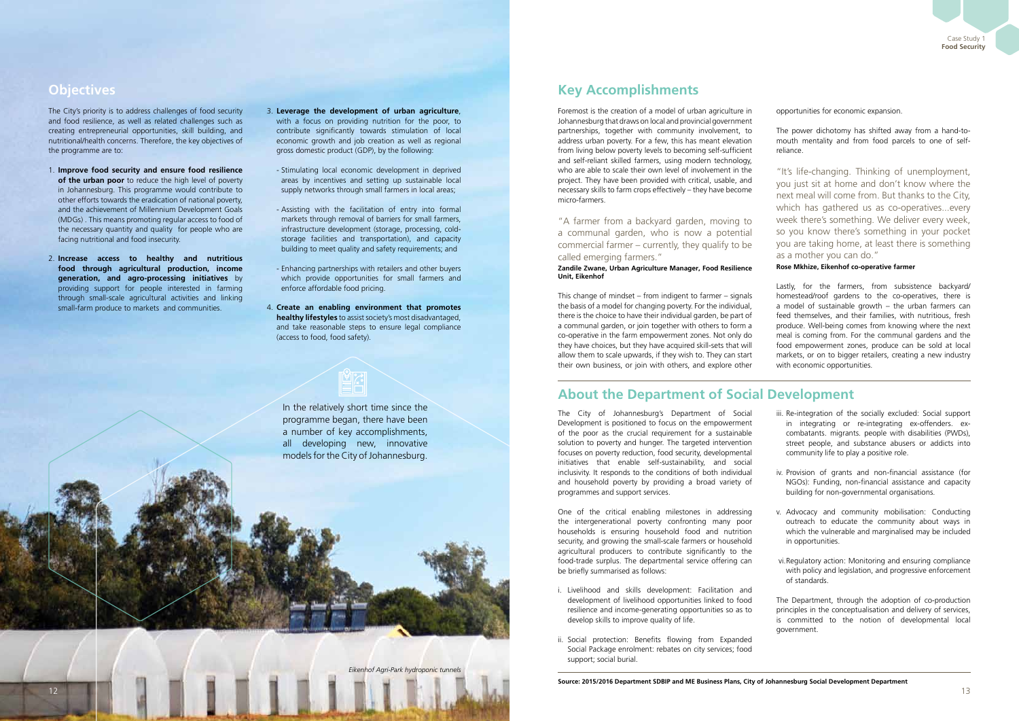Case Study 1 **Food Security**

**Objectives Key Accomplishments**

## **About the Department of Social Development**

The City's priority is to address challenges of food security and food resilience, as well as related challenges such as creating entrepreneurial opportunities, skill building, and nutritional/health concerns. Therefore, the key objectives of the programme are to:

- 1. **Improve food security and ensure food resilience of the urban poor** to reduce the high level of poverty in Johannesburg. This programme would contribute to other efforts towards the eradication of national poverty, and the achievement of Millennium Development Goals (MDGs) . This means promoting regular access to food of the necessary quantity and quality for people who are facing nutritional and food insecurity.
- 2. **Increase access to healthy and nutritious food through agricultural production, income generation, and agro-processing initiatives** by providing support for people interested in farming through small-scale agricultural activities and linking small-farm produce to markets and communities.
- 3. **Leverage the development of urban agriculture**, with a focus on providing nutrition for the poor, to contribute significantly towards stimulation of local economic growth and job creation as well as regional gross domestic product (GDP), by the following:
	- Stimulating local economic development in deprived areas by incentives and setting up sustainable local supply networks through small farmers in local areas;
	- Assisting with the facilitation of entry into formal markets through removal of barriers for small farmers, infrastructure development (storage, processing, coldstorage facilities and transportation), and capacity building to meet quality and safety requirements; and
	- Enhancing partnerships with retailers and other buyers which provide opportunities for small farmers and enforce affordable food pricing.
- 4. **Create an enabling environment that promotes healthy lifestyles** to assist society's most disadvantaged, and take reasonable steps to ensure legal compliance (access to food, food safety).

Foremost is the creation of a model of urban agriculture in Johannesburg that draws on local and provincial government partnerships, together with community involvement, to address urban poverty. For a few, this has meant elevation from living below poverty levels to becoming self-sufficient and self-reliant skilled farmers, using modern technology, who are able to scale their own level of involvement in the project. They have been provided with critical, usable, and necessary skills to farm crops effectively – they have become micro-farmers.

"A farmer from a backyard garden, moving to a communal garden, who is now a potential commercial farmer – currently, they qualify to be called emerging farmers."

#### **Zandile Zwane, Urban Agriculture Manager, Food Resilience Unit, Eikenhof**

This change of mindset – from indigent to farmer – signals the basis of a model for changing poverty. For the individual, there is the choice to have their individual garden, be part of a communal garden, or join together with others to form a co-operative in the farm empowerment zones. Not only do they have choices, but they have acquired skill-sets that will allow them to scale upwards, if they wish to. They can start their own business, or join with others, and explore other opportunities for economic expansion.

The power dichotomy has shifted away from a hand-tomouth mentality and from food parcels to one of selfreliance.

"It's life-changing. Thinking of unemployment, you just sit at home and don't know where the next meal will come from. But thanks to the City, which has gathered us as co-operatives...every week there's something. We deliver every week, so you know there's something in your pocket you are taking home, at least there is something as a mother you can do."

### **Rose Mkhize, Eikenhof co-operative farmer**

Lastly, for the farmers, from subsistence backyard/ homestead/roof gardens to the co-operatives, there is a model of sustainable growth – the urban farmers can feed themselves, and their families, with nutritious, fresh produce. Well-being comes from knowing where the next meal is coming from. For the communal gardens and the food empowerment zones, produce can be sold at local markets, or on to bigger retailers, creating a new industry with economic opportunities.

The City of Johannesburg's Department of Social Development is positioned to focus on the empowerment of the poor as the crucial requirement for a sustainable solution to poverty and hunger. The targeted intervention focuses on poverty reduction, food security, developmental initiatives that enable self-sustainability, and social inclusivity. It responds to the conditions of both individual and household poverty by providing a broad variety of programmes and support services.

One of the critical enabling milestones in addressing the intergenerational poverty confronting many poor households is ensuring household food and nutrition security, and growing the small-scale farmers or household agricultural producers to contribute significantly to the food-trade surplus. The departmental service offering can be briefly summarised as follows:

- i. Livelihood and skills development: Facilitation and development of livelihood opportunities linked to food resilience and income-generating opportunities so as to develop skills to improve quality of life.
- ii. Social protection: Benefits flowing from Expanded Social Package enrolment: rebates on city services; food support; social burial.
- iii. Re-integration of the socially excluded: Social support in integrating or re-integrating ex-offenders. excombatants. migrants. people with disabilities (PWDs), street people, and substance abusers or addicts into community life to play a positive role.
- iv. Provision of grants and non-financial assistance (for NGOs): Funding, non-financial assistance and capacity building for non-governmental organisations.
- v. Advocacy and community mobilisation: Conducting outreach to educate the community about ways in which the vulnerable and marginalised may be included in opportunities.
- vi. Regulatory action: Monitoring and ensuring compliance with policy and legislation, and progressive enforcement of standards.

The Department, through the adoption of co-production principles in the conceptualisation and delivery of services, is committed to the notion of developmental local government.

In the relatively short time since the programme began, there have been a number of key accomplishments, all developing new, innovative models for the City of Johannesburg.

**Source: 2015/2016 Department SDBIP and ME Business Plans, City of Johannesburg Social Development Department**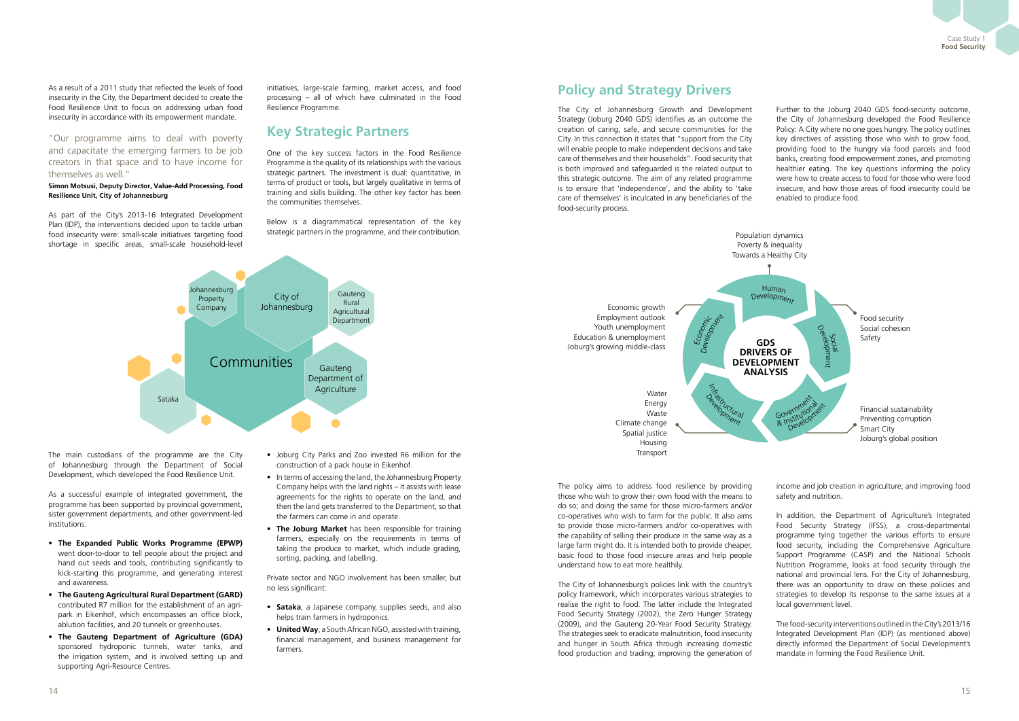As a result of a 2011 study that reflected the levels of food insecurity in the City, the Department decided to create the Food Resilience Unit to focus on addressing urban food insecurity in accordance with its empowerment mandate.

"Our programme aims to deal with poverty and capacitate the emerging farmers to be job creators in that space and to have income for themselves as well."

### **Simon Motsusi, Deputy Director, Value-Add Processing, Food Resilience Unit, City of Johannesburg**

As part of the City's 2013-16 Integrated Development Plan (IDP), the interventions decided upon to tackle urban food insecurity were: small-scale initiatives targeting food shortage in specific areas, small-scale household-level initiatives, large-scale farming, market access, and food processing – all of which have culminated in the Food Resilience Programme.

## **Key Strategic Partners**

One of the key success factors in the Food Resilience Programme is the quality of its relationships with the various strategic partners. The investment is dual: quantitative, in terms of product or tools, but largely qualitative in terms of training and skills building. The other key factor has been the communities themselves.

Below is a diagrammatical representation of the key strategic partners in the programme, and their contribution.

The main custodians of the programme are the City of Johannesburg through the Department of Social Development, which developed the Food Resilience Unit.

As a successful example of integrated government, the programme has been supported by provincial government, sister government departments, and other government-led institutions:

- • **The Expanded Public Works Programme (EPWP)** went door-to-door to tell people about the project and hand out seeds and tools, contributing significantly to kick-starting this programme, and generating interest and awareness.
- • **The Gauteng Agricultural Rural Department (GARD)**  contributed R7 million for the establishment of an agripark in Eikenhof, which encompasses an office block, ablution facilities, and 20 tunnels or greenhouses.
- • **The Gauteng Department of Agriculture (GDA)** sponsored hydroponic tunnels, water tanks, and the irrigation system, and is involved setting up and supporting Agri-Resource Centres.
- Joburg City Parks and Zoo invested R6 million for the construction of a pack house in Eikenhof.
- In terms of accessing the land, the Johannesburg Property Company helps with the land rights – it assists with lease agreements for the rights to operate on the land, and then the land gets transferred to the Department, so that the farmers can come in and operate.
- • **The Joburg Market** has been responsible for training farmers, especially on the requirements in terms of taking the produce to market, which include grading, sorting, packing, and labelling.

Private sector and NGO involvement has been smaller, but no less significant:

- **Sataka**, a Japanese company, supplies seeds, and also helps train farmers in hydroponics.
- **United Way**, a South African NGO, assisted with training, financial management, and business management for farmers.



# **Policy and Strategy Drivers**

The City of Johannesburg Growth and Development Strategy (Joburg 2040 GDS) identifies as an outcome the creation of caring, safe, and secure communities for the City. In this connection it states that "support from the City will enable people to make independent decisions and take care of themselves and their households". Food security that is both improved and safeguarded is the related output to this strategic outcome. The aim of any related programme is to ensure that 'independence', and the ability to 'take care of themselves' is inculcated in any beneficiaries of the food-security process.

Further to the Joburg 2040 GDS food-security outcome, the City of Johannesburg developed the Food Resilience Policy: A City where no one goes hungry. The policy outlines key directives of assisting those who wish to grow food, providing food to the hungry via food parcels and food banks, creating food empowerment zones, and promoting healthier eating. The key questions informing the policy were how to create access to food for those who were food insecure, and how those areas of food insecurity could be enabled to produce food.

The policy aims to address food resilience by providing those who wish to grow their own food with the means to do so; and doing the same for those micro-farmers and/or co-operatives who wish to farm for the public. It also aims to provide those micro-farmers and/or co-operatives with the capability of selling their produce in the same way as a large farm might do. It is intended both to provide cheaper, basic food to those food insecure areas and help people understand how to eat more healthily.

The City of Johannesburg's policies link with the country's policy framework, which incorporates various strategies to realise the right to food. The latter include the Integrated Food Security Strategy (2002), the Zero Hunger Strategy (2009), and the Gauteng 20-Year Food Security Strategy. The strategies seek to eradicate malnutrition, food insecurity and hunger in South Africa through increasing domestic food production and trading; improving the generation of

income and job creation in agriculture; and improving food safety and nutrition.

In addition, the Department of Agriculture's Integrated Food Security Strategy (IFSS), a cross-departmental programme tying together the various efforts to ensure food security, including the Comprehensive Agriculture Support Programme (CASP) and the National Schools Nutrition Programme, looks at food security through the national and provincial lens. For the City of Johannesburg, there was an opportunity to draw on these policies and strategies to develop its response to the same issues at a local government level.

The food-security interventions outlined in the City's 2013/16 Integrated Development Plan (IDP) (as mentioned above) directly informed the Department of Social Development's mandate in forming the Food Resilience Unit.

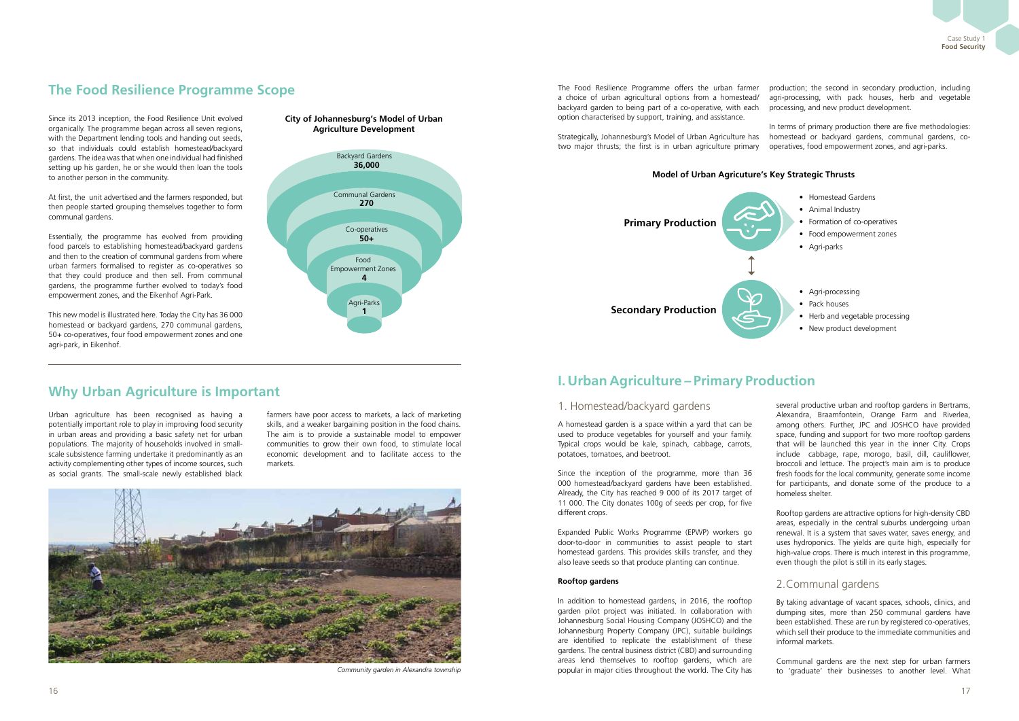Case Study 1 **Food Security**

Since its 2013 inception, the Food Resilience Unit evolved organically. The programme began across all seven regions, with the Department lending tools and handing out seeds, so that individuals could establish homestead/backyard gardens. The idea was that when one individual had finished setting up his garden, he or she would then loan the tools to another person in the community.

At first, the unit advertised and the farmers responded, but then people started grouping themselves together to form communal gardens.

Essentially, the programme has evolved from providing food parcels to establishing homestead/backyard gardens and then to the creation of communal gardens from where urban farmers formalised to register as co-operatives so that they could produce and then sell. From communal gardens, the programme further evolved to today's food empowerment zones, and the Eikenhof Agri-Park.

This new model is illustrated here. Today the City has 36 000 homestead or backyard gardens, 270 communal gardens, 50+ co-operatives, four food empowerment zones and one agri-park, in Eikenhof.

### **City of Johannesburg's Model of Urban Agriculture Development**

Urban agriculture has been recognised as having a potentially important role to play in improving food security in urban areas and providing a basic safety net for urban populations. The majority of households involved in smallscale subsistence farming undertake it predominantly as an activity complementing other types of income sources, such as social grants. The small-scale newly established black

farmers have poor access to markets, a lack of marketing skills, and a weaker bargaining position in the food chains. The aim is to provide a sustainable model to empower communities to grow their own food, to stimulate local economic development and to facilitate access to the markets.

The Food Resilience Programme offers the urban farmer a choice of urban agricultural options from a homestead/ backyard garden to being part of a co-operative, with each option characterised by support, training, and assistance. production; the second in secondary production, including agri-processing, with pack houses, herb and vegetable processing, and new product development.

Strategically, Johannesburg's Model of Urban Agriculture has two major thrusts; the first is in urban agriculture primary In terms of primary production there are five methodologies: homestead or backyard gardens, communal gardens, cooperatives, food empowerment zones, and agri-parks.

### 1. Homestead/backyard gardens

A homestead garden is a space within a yard that can be used to produce vegetables for yourself and your family. Typical crops would be kale, spinach, cabbage, carrots, potatoes, tomatoes, and beetroot.

Since the inception of the programme, more than 36 000 homestead/backyard gardens have been established. Already, the City has reached 9 000 of its 2017 target of 11 000. The City donates 100g of seeds per crop, for five different crops.

Expanded Public Works Programme (EPWP) workers go door-to-door in communities to assist people to start homestead gardens. This provides skills transfer, and they also leave seeds so that produce planting can continue.

#### **Rooftop gardens**

In addition to homestead gardens, in 2016, the rooftop garden pilot project was initiated. In collaboration with Johannesburg Social Housing Company (JOSHCO) and the Johannesburg Property Company (JPC), suitable buildings are identified to replicate the establishment of these gardens. The central business district (CBD) and surrounding areas lend themselves to rooftop gardens, which are popular in major cities throughout the world. The City has

several productive urban and rooftop gardens in Bertrams, Alexandra, Braamfontein, Orange Farm and Riverlea, among others. Further, JPC and JOSHCO have provided space, funding and support for two more rooftop gardens that will be launched this year in the inner City. Crops include cabbage, rape, morogo, basil, dill, cauliflower, broccoli and lettuce. The project's main aim is to produce fresh foods for the local community, generate some income for participants, and donate some of the produce to a homeless shelter.

Rooftop gardens are attractive options for high-density CBD areas, especially in the central suburbs undergoing urban renewal. It is a system that saves water, saves energy, and uses hydroponics. The yields are quite high, especially for high-value crops. There is much interest in this programme, even though the pilot is still in its early stages.

## 2.Communal gardens

By taking advantage of vacant spaces, schools, clinics, and dumping sites, more than 250 communal gardens have been established. These are run by registered co-operatives, which sell their produce to the immediate communities and informal markets.

Communal gardens are the next step for urban farmers to 'graduate' their businesses to another level. What

# **The Food Resilience Programme Scope**

## **Why Urban Agriculture is Important**



*Community garden in Alexandra township*



- Homestead Gardens
- Animal Industry
- Formation of co-operatives
- Food empowerment zones
- Agri-parks





- Pack houses
- Herb and vegetable processing
- New product development

### **Model of Urban Agricuture's Key Strategic Thrusts**

# **I. Urban Agriculture – Primary Production**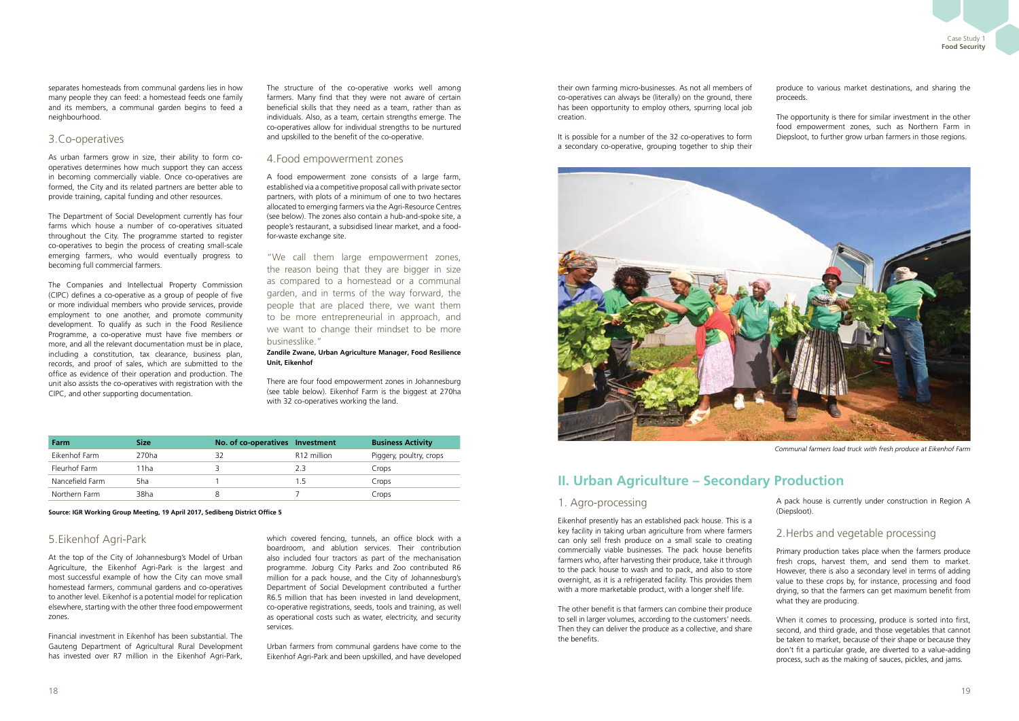separates homesteads from communal gardens lies in how many people they can feed: a homestead feeds one family and its members, a communal garden begins to feed a neighbourhood.

## 3.Co-operatives

As urban farmers grow in size, their ability to form cooperatives determines how much support they can access in becoming commercially viable. Once co-operatives are formed, the City and its related partners are better able to provide training, capital funding and other resources.

The Department of Social Development currently has four farms which house a number of co-operatives situated throughout the City. The programme started to register co-operatives to begin the process of creating small-scale emerging farmers, who would eventually progress to becoming full commercial farmers.

The Companies and Intellectual Property Commission (CIPC) defines a co-operative as a group of people of five or more individual members who provide services, provide employment to one another, and promote community development. To qualify as such in the Food Resilience Programme, a co-operative must have five members or more, and all the relevant documentation must be in place, including a constitution, tax clearance, business plan, records, and proof of sales, which are submitted to the office as evidence of their operation and production. The unit also assists the co-operatives with registration with the CIPC, and other supporting documentation.

The structure of the co-operative works well among farmers. Many find that they were not aware of certain beneficial skills that they need as a team, rather than as individuals. Also, as a team, certain strengths emerge. The co-operatives allow for individual strengths to be nurtured and upskilled to the benefit of the co-operative.

### 4.Food empowerment zones

A food empowerment zone consists of a large farm, established via a competitive proposal call with private sector partners, with plots of a minimum of one to two hectares allocated to emerging farmers via the Agri-Resource Centres (see below). The zones also contain a hub-and-spoke site, a people's restaurant, a subsidised linear market, and a foodfor-waste exchange site.

"We call them large empowerment zones, the reason being that they are bigger in size as compared to a homestead or a communal garden, and in terms of the way forward, the people that are placed there, we want them to be more entrepreneurial in approach, and we want to change their mindset to be more businesslike."

### **Zandile Zwane, Urban Agriculture Manager, Food Resilience Unit, Eikenhof**

There are four food empowerment zones in Johannesburg (see table below). Eikenhof Farm is the biggest at 270ha with 32 co-operatives working the land.

| Farm            | <b>Size</b> | No. of co-operatives Investment |                         | <b>Business Activity</b> |
|-----------------|-------------|---------------------------------|-------------------------|--------------------------|
| Eikenhof Farm   | 270ha       |                                 | R <sub>12</sub> million | Piggery, poultry, crops  |
| Fleurhof Farm   | 1ha         |                                 | 23                      | Crops                    |
| Nancefield Farm | 5ha         |                                 | 15                      | Crops                    |
| Northern Farm   | 38ha        |                                 |                         | Crops                    |

**Source: IGR Working Group Meeting, 19 April 2017, Sedibeng District Office 5**

## 5.Eikenhof Agri-Park

At the top of the City of Johannesburg's Model of Urban Agriculture, the Eikenhof Agri-Park is the largest and most successful example of how the City can move small homestead farmers, communal gardens and co-operatives to another level. Eikenhof is a potential model for replication elsewhere, starting with the other three food empowerment zones.

Financial investment in Eikenhof has been substantial. The Gauteng Department of Agricultural Rural Development has invested over R7 million in the Eikenhof Agri-Park,

which covered fencing, tunnels, an office block with a boardroom, and ablution services. Their contribution also included four tractors as part of the mechanisation programme. Joburg City Parks and Zoo contributed R6 million for a pack house, and the City of Johannesburg's Department of Social Development contributed a further R6.5 million that has been invested in land development, co-operative registrations, seeds, tools and training, as well as operational costs such as water, electricity, and security services.

Urban farmers from communal gardens have come to the Eikenhof Agri-Park and been upskilled, and have developed their own farming micro-businesses. As not all members of co-operatives can always be (literally) on the ground, there has been opportunity to employ others, spurring local job creation.

It is possible for a number of the 32 co-operatives to form a secondary co-operative, grouping together to ship their



produce to various market destinations, and sharing the proceeds.

The opportunity is there for similar investment in the other food empowerment zones, such as Northern Farm in Diepsloot, to further grow urban farmers in those regions.

## 1. Agro-processing

Eikenhof presently has an established pack house. This is a key facility in taking urban agriculture from where farmers can only sell fresh produce on a small scale to creating commercially viable businesses. The pack house benefits farmers who, after harvesting their produce, take it through to the pack house to wash and to pack, and also to store overnight, as it is a refrigerated facility. This provides them with a more marketable product, with a longer shelf life.

The other benefit is that farmers can combine their produce to sell in larger volumes, according to the customers' needs. Then they can deliver the produce as a collective, and share the benefits.

A pack house is currently under construction in Region A (Diepsloot).

## 2.Herbs and vegetable processing

Primary production takes place when the farmers produce fresh crops, harvest them, and send them to market. However, there is also a secondary level in terms of adding value to these crops by, for instance, processing and food drying, so that the farmers can get maximum benefit from what they are producing.

When it comes to processing, produce is sorted into first, second, and third grade, and those vegetables that cannot be taken to market, because of their shape or because they don't fit a particular grade, are diverted to a value-adding process, such as the making of sauces, pickles, and jams.

*Communal farmers load truck with fresh produce at Eikenhof Farm*

## **II. Urban Agriculture – Secondary Production**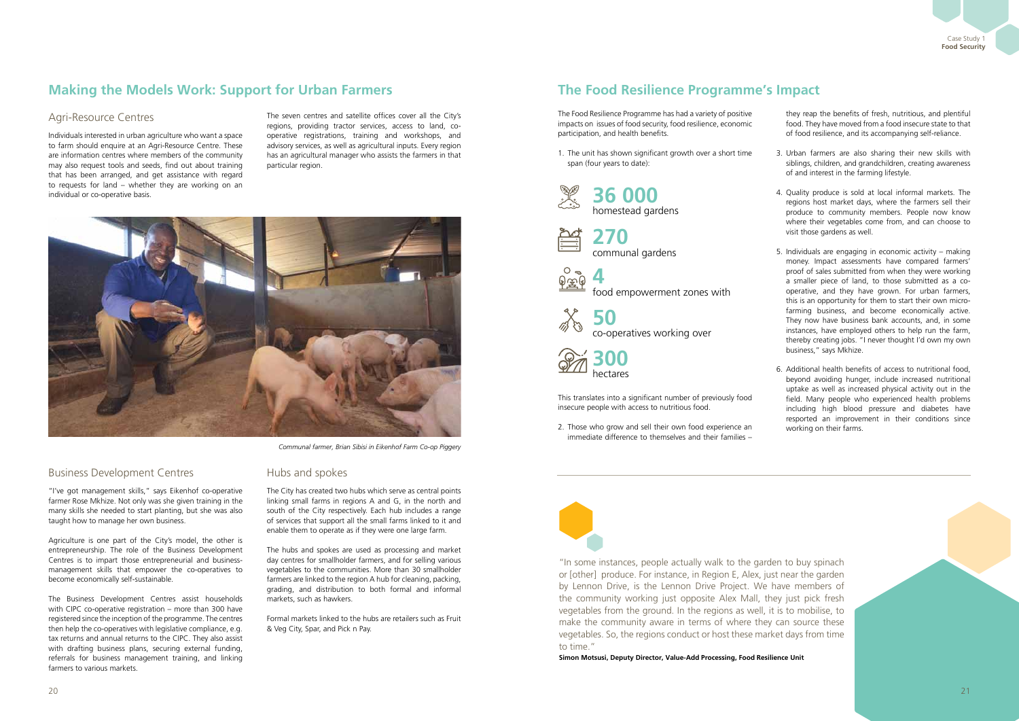

## Business Development Centres

"I've got management skills," says Eikenhof co-operative farmer Rose Mkhize. Not only was she given training in the many skills she needed to start planting, but she was also taught how to manage her own business.

Agriculture is one part of the City's model, the other is entrepreneurship. The role of the Business Development Centres is to impart those entrepreneurial and businessmanagement skills that empower the co-operatives to become economically self-sustainable.

The Business Development Centres assist households with CIPC co-operative registration – more than 300 have registered since the inception of the programme. The centres then help the co-operatives with legislative compliance, e.g. tax returns and annual returns to the CIPC. They also assist with drafting business plans, securing external funding, referrals for business management training, and linking farmers to various markets.

## Hubs and spokes

The City has created two hubs which serve as central points linking small farms in regions A and G, in the north and south of the City respectively. Each hub includes a range of services that support all the small farms linked to it and enable them to operate as if they were one large farm.

The hubs and spokes are used as processing and market day centres for smallholder farmers, and for selling various vegetables to the communities. More than 30 smallholder farmers are linked to the region A hub for cleaning, packing, grading, and distribution to both formal and informal markets, such as hawkers.

Formal markets linked to the hubs are retailers such as Fruit & Veg City, Spar, and Pick n Pay.

## Agri-Resource Centres

Individuals interested in urban agriculture who want a space to farm should enquire at an Agri-Resource Centre. These are information centres where members of the community may also request tools and seeds, find out about training that has been arranged, and get assistance with regard to requests for land – whether they are working on an individual or co-operative basis.

The seven centres and satellite offices cover all the City's regions, providing tractor services, access to land, cooperative registrations, training and workshops, and advisory services, as well as agricultural inputs. Every region has an agricultural manager who assists the farmers in that particular region.



# **Making the Models Work: Support for Urban Farmers**

*Communal farmer, Brian Sibisi in Eikenhof Farm Co-op Piggery*

# **The Food Resilience Programme's Impact**

The Food Resilience Programme has had a variety of positive impacts on issues of food security, food resilience, economic participation, and health benefits.

1. The unit has shown significant growth over a short time span (four years to date):

2. Those who grow and sell their own food experience an immediate difference to themselves and their families –



they reap the benefits of fresh, nutritious, and plentiful food. They have moved from a food insecure state to that of food resilience, and its accompanying self-reliance.



- 3. Urban farmers are also sharing their new skills with siblings, children, and grandchildren, creating awareness of and interest in the farming lifestyle.
- 4. Quality produce is sold at local informal markets. The regions host market days, where the farmers sell their produce to community members. People now know where their vegetables come from, and can choose to visit those gardens as well.
- 5. Individuals are engaging in economic activity making money. Impact assessments have compared farmers' proof of sales submitted from when they were working a smaller piece of land, to those submitted as a cooperative, and they have grown. For urban farmers, this is an opportunity for them to start their own microfarming business, and become economically active. They now have business bank accounts, and, in some instances, have employed others to help run the farm, thereby creating jobs. "I never thought I'd own my own business," says Mkhize.
- 6. Additional health benefits of access to nutritional food, beyond avoiding hunger, include increased nutritional uptake as well as increased physical activity out in the field. Many people who experienced health problems including high blood pressure and diabetes have resported an improvement in their conditions since working on their farms.

"In some instances, people actually walk to the garden to buy spinach or [other] produce. For instance, in Region E, Alex, just near the garden by Lennon Drive, is the Lennon Drive Project. We have members of the community working just opposite Alex Mall, they just pick fresh vegetables from the ground. In the regions as well, it is to mobilise, to make the community aware in terms of where they can source these vegetables. So, the regions conduct or host these market days from time to time."

**Simon Motsusi, Deputy Director, Value-Add Processing, Food Resilience Unit**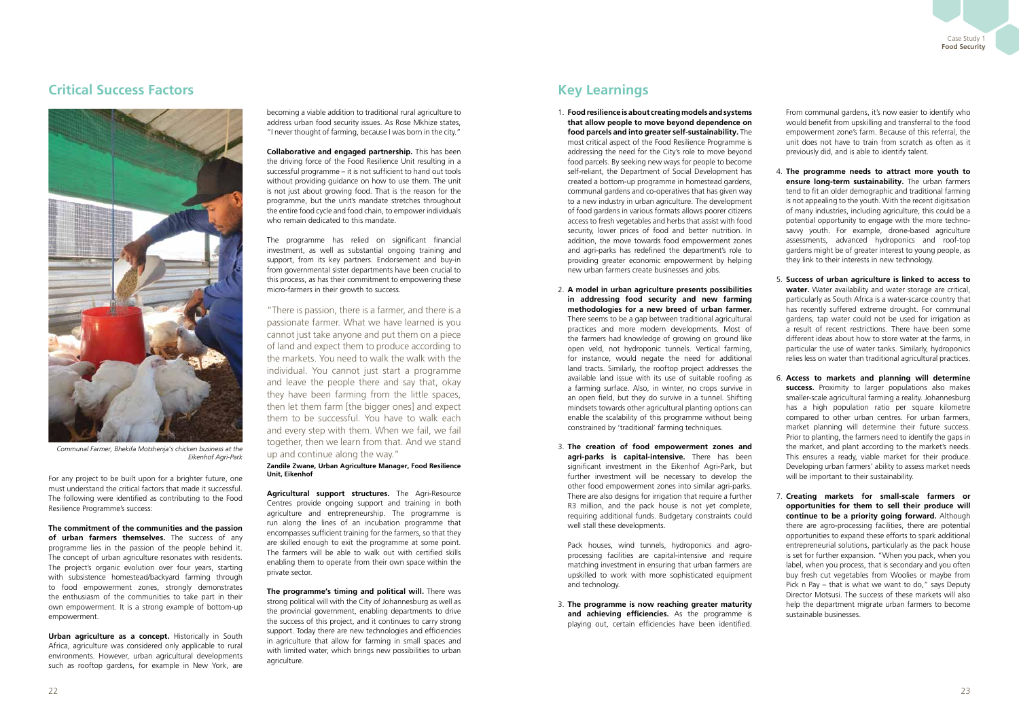## **Critical Success Factors Key Learnings**

For any project to be built upon for a brighter future, one must understand the critical factors that made it successful. The following were identified as contributing to the Food Resilience Programme's success:

**The commitment of the communities and the passion of urban farmers themselves.** The success of any programme lies in the passion of the people behind it. The concept of urban agriculture resonates with residents. The project's organic evolution over four years, starting with subsistence homestead/backyard farming through to food empowerment zones, strongly demonstrates the enthusiasm of the communities to take part in their own empowerment. It is a strong example of bottom-up empowerment.

**Urban agriculture as a concept.** Historically in South Africa, agriculture was considered only applicable to rural environments. However, urban agricultural developments such as rooftop gardens, for example in New York, are

becoming a viable addition to traditional rural agriculture to address urban food security issues. As Rose Mkhize states, "I never thought of farming, because I was born in the city."

**Collaborative and engaged partnership.** This has been the driving force of the Food Resilience Unit resulting in a successful programme – it is not sufficient to hand out tools without providing guidance on how to use them. The unit is not just about growing food. That is the reason for the programme, but the unit's mandate stretches throughout the entire food cycle and food chain, to empower individuals who remain dedicated to this mandate.

The programme has relied on significant financial investment, as well as substantial ongoing training and support, from its key partners. Endorsement and buy-in from governmental sister departments have been crucial to this process, as has their commitment to empowering these micro-farmers in their growth to success.

"There is passion, there is a farmer, and there is a passionate farmer. What we have learned is you cannot just take anyone and put them on a piece of land and expect them to produce according to the markets. You need to walk the walk with the individual. You cannot just start a programme and leave the people there and say that, okay they have been farming from the little spaces, then let them farm [the bigger ones] and expect them to be successful. You have to walk each and every step with them. When we fail, we fail together, then we learn from that. And we stand up and continue along the way."

**Zandile Zwane, Urban Agriculture Manager, Food Resilience Unit, Eikenhof**

**Agricultural support structures.** The Agri-Resource Centres provide ongoing support and training in both agriculture and entrepreneurship. The programme is run along the lines of an incubation programme that encompasses sufficient training for the farmers, so that they are skilled enough to exit the programme at some point. The farmers will be able to walk out with certified skills enabling them to operate from their own space within the private sector.

**The programme's timing and political will.** There was strong political will with the City of Johannesburg as well as the provincial government, enabling departments to drive the success of this project, and it continues to carry strong support. Today there are new technologies and efficiencies in agriculture that allow for farming in small spaces and with limited water, which brings new possibilities to urban agriculture.

- 1. **Food resilience is about creating models and systems that allow people to move beyond dependence on food parcels and into greater self-sustainability.** The most critical aspect of the Food Resilience Programme is addressing the need for the City's role to move beyond food parcels. By seeking new ways for people to become self-reliant, the Department of Social Development has created a bottom-up programme in homestead gardens, communal gardens and co-operatives that has given way to a new industry in urban agriculture. The development of food gardens in various formats allows poorer citizens access to fresh vegetables and herbs that assist with food security, lower prices of food and better nutrition. In addition, the move towards food empowerment zones and agri-parks has redefined the department's role to providing greater economic empowerment by helping new urban farmers create businesses and jobs.
- 2. **A model in urban agriculture presents possibilities in addressing food security and new farming methodologies for a new breed of urban farmer.**  There seems to be a gap between traditional agricultural practices and more modern developments. Most of the farmers had knowledge of growing on ground like open veld, not hydroponic tunnels. Vertical farming, for instance, would negate the need for additional land tracts. Similarly, the rooftop project addresses the available land issue with its use of suitable roofing as a farming surface. Also, in winter, no crops survive in an open field, but they do survive in a tunnel. Shifting mindsets towards other agricultural planting options can enable the scalability of this programme without being constrained by 'traditional' farming techniques.
- 3. **The creation of food empowerment zones and agri-parks is capital-intensive.** There has been significant investment in the Eikenhof Agri-Park, but further investment will be necessary to develop the other food empowerment zones into similar agri-parks. There are also designs for irrigation that require a further R3 million, and the pack house is not yet complete, requiring additional funds. Budgetary constraints could well stall these developments.

 Pack houses, wind tunnels, hydroponics and agroprocessing facilities are capital-intensive and require matching investment in ensuring that urban farmers are upskilled to work with more sophisticated equipment and technology.

3. **The programme is now reaching greater maturity and achieving efficiencies.** As the programme is playing out, certain efficiencies have been identified.

From communal gardens, it's now easier to identify who would benefit from upskilling and transferral to the food empowerment zone's farm. Because of this referral, the unit does not have to train from scratch as often as it previously did, and is able to identify talent.

- 4. **The programme needs to attract more youth to ensure long-term sustainability.** The urban farmers tend to fit an older demographic and traditional farming is not appealing to the youth. With the recent digitisation of many industries, including agriculture, this could be a potential opportunity to engage with the more technosavvy youth. For example, drone-based agriculture assessments, advanced hydroponics and roof-top gardens might be of greater interest to young people, as they link to their interests in new technology.
- 5. **Success of urban agriculture is linked to access to water.** Water availability and water storage are critical, particularly as South Africa is a water-scarce country that has recently suffered extreme drought. For communal gardens, tap water could not be used for irrigation as a result of recent restrictions. There have been some different ideas about how to store water at the farms, in particular the use of water tanks. Similarly, hydroponics relies less on water than traditional agricultural practices.
- 6. **Access to markets and planning will determine**  success. Proximity to larger populations also makes smaller-scale agricultural farming a reality. Johannesburg has a high population ratio per square kilometre compared to other urban centres. For urban farmers, market planning will determine their future success. Prior to planting, the farmers need to identify the gaps in the market, and plant according to the market's needs. This ensures a ready, viable market for their produce. Developing urban farmers' ability to assess market needs will be important to their sustainability.
- 7. **Creating markets for small-scale farmers or opportunities for them to sell their produce will continue to be a priority going forward.** Although there are agro-processing facilities, there are potential opportunities to expand these efforts to spark additional entrepreneurial solutions, particularly as the pack house is set for further expansion. "When you pack, when you label, when you process, that is secondary and you often buy fresh cut vegetables from Woolies or maybe from Pick n Pay – that is what we want to do," says Deputy Director Motsusi. The success of these markets will also help the department migrate urban farmers to become sustainable businesses.



*Communal Farmer, Bhekifa Motshenja's chicken business at the Eikenhof Agri-Park*